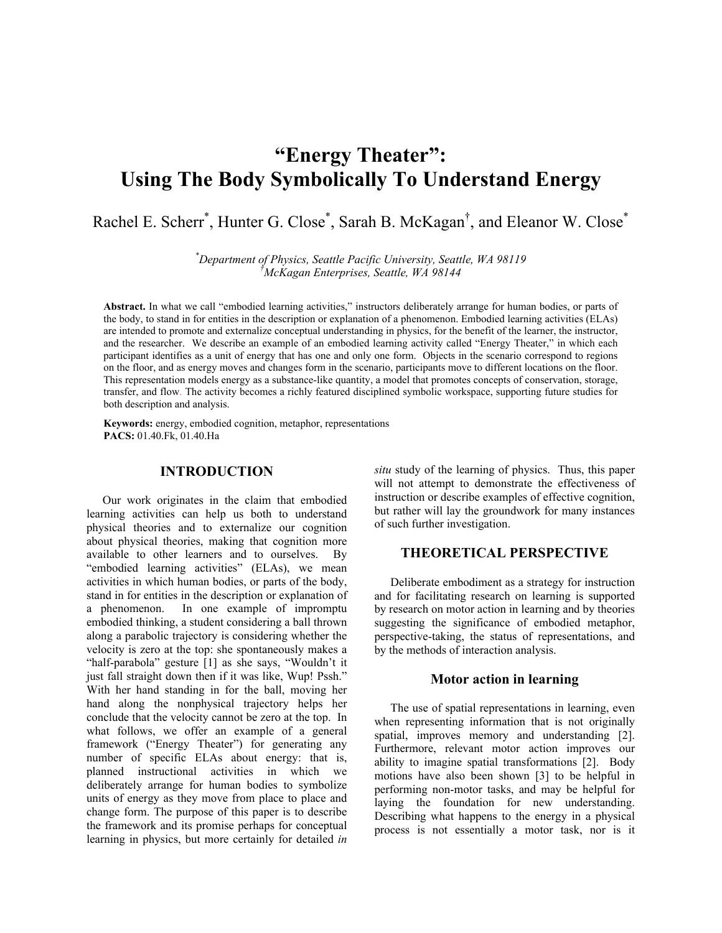# **"Energy Theater": Using The Body Symbolically To Understand Energy**

Rachel E. Scherr<sup>\*</sup>, Hunter G. Close<sup>\*</sup>, Sarah B. McKagan<sup>†</sup>, and Eleanor W. Close<sup>\*</sup>

*\* Department of Physics, Seattle Pacific University, Seattle, WA 98119 † McKagan Enterprises, Seattle, WA 98144*

**Abstract.** In what we call "embodied learning activities," instructors deliberately arrange for human bodies, or parts of the body, to stand in for entities in the description or explanation of a phenomenon. Embodied learning activities (ELAs) are intended to promote and externalize conceptual understanding in physics, for the benefit of the learner, the instructor, and the researcher. We describe an example of an embodied learning activity called "Energy Theater," in which each participant identifies as a unit of energy that has one and only one form. Objects in the scenario correspond to regions on the floor, and as energy moves and changes form in the scenario, participants move to different locations on the floor. This representation models energy as a substance-like quantity, a model that promotes concepts of conservation, storage, transfer, and flow. The activity becomes a richly featured disciplined symbolic workspace, supporting future studies for both description and analysis.

**Keywords:** energy, embodied cognition, metaphor, representations **PACS:** 01.40.Fk, 01.40.Ha

# **INTRODUCTION**

Our work originates in the claim that embodied learning activities can help us both to understand physical theories and to externalize our cognition about physical theories, making that cognition more available to other learners and to ourselves. By "embodied learning activities" (ELAs), we mean activities in which human bodies, or parts of the body, stand in for entities in the description or explanation of a phenomenon. In one example of impromptu embodied thinking, a student considering a ball thrown along a parabolic trajectory is considering whether the velocity is zero at the top: she spontaneously makes a "half-parabola" gesture [1] as she says, "Wouldn't it just fall straight down then if it was like, Wup! Pssh." With her hand standing in for the ball, moving her hand along the nonphysical trajectory helps her conclude that the velocity cannot be zero at the top. In what follows, we offer an example of a general framework ("Energy Theater") for generating any number of specific ELAs about energy: that is, planned instructional activities in which we deliberately arrange for human bodies to symbolize units of energy as they move from place to place and change form. The purpose of this paper is to describe the framework and its promise perhaps for conceptual learning in physics, but more certainly for detailed *in* 

*situ* study of the learning of physics. Thus, this paper will not attempt to demonstrate the effectiveness of instruction or describe examples of effective cognition, but rather will lay the groundwork for many instances of such further investigation.

# **THEORETICAL PERSPECTIVE**

Deliberate embodiment as a strategy for instruction and for facilitating research on learning is supported by research on motor action in learning and by theories suggesting the significance of embodied metaphor, perspective-taking, the status of representations, and by the methods of interaction analysis.

#### **Motor action in learning**

The use of spatial representations in learning, even when representing information that is not originally spatial, improves memory and understanding [2]. Furthermore, relevant motor action improves our ability to imagine spatial transformations [2]. Body motions have also been shown [3] to be helpful in performing non-motor tasks, and may be helpful for laying the foundation for new understanding. Describing what happens to the energy in a physical process is not essentially a motor task, nor is it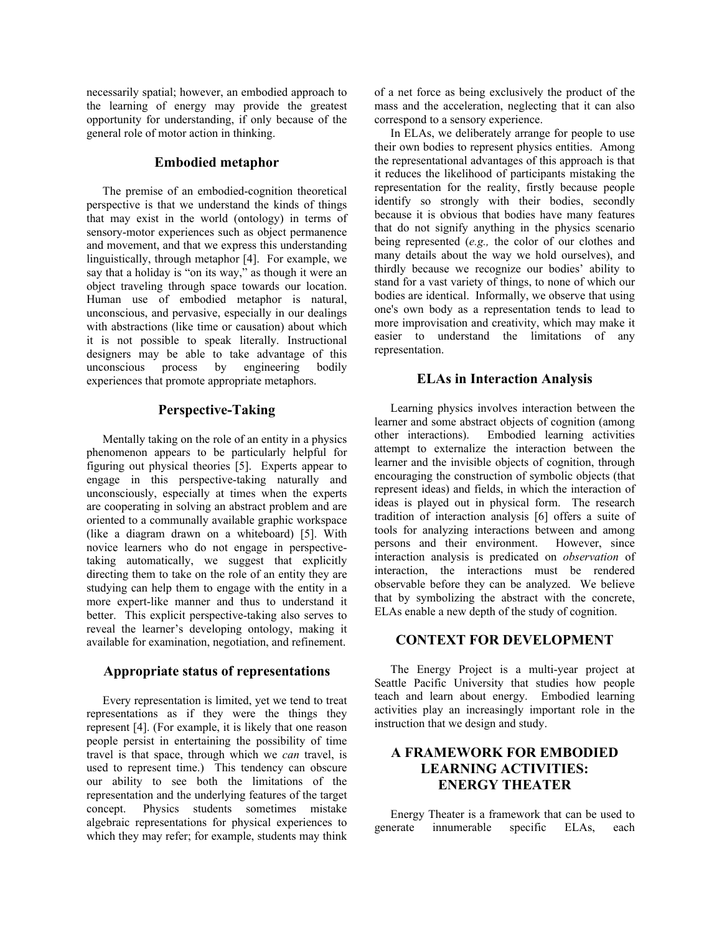necessarily spatial; however, an embodied approach to the learning of energy may provide the greatest opportunity for understanding, if only because of the general role of motor action in thinking.

## **Embodied metaphor**

The premise of an embodied-cognition theoretical perspective is that we understand the kinds of things that may exist in the world (ontology) in terms of sensory-motor experiences such as object permanence and movement, and that we express this understanding linguistically, through metaphor [4]. For example, we say that a holiday is "on its way," as though it were an object traveling through space towards our location. Human use of embodied metaphor is natural, unconscious, and pervasive, especially in our dealings with abstractions (like time or causation) about which it is not possible to speak literally. Instructional designers may be able to take advantage of this unconscious process by engineering bodily experiences that promote appropriate metaphors.

#### **Perspective-Taking**

Mentally taking on the role of an entity in a physics phenomenon appears to be particularly helpful for figuring out physical theories [5]. Experts appear to engage in this perspective-taking naturally and unconsciously, especially at times when the experts are cooperating in solving an abstract problem and are oriented to a communally available graphic workspace (like a diagram drawn on a whiteboard) [5]. With novice learners who do not engage in perspectivetaking automatically, we suggest that explicitly directing them to take on the role of an entity they are studying can help them to engage with the entity in a more expert-like manner and thus to understand it better. This explicit perspective-taking also serves to reveal the learner's developing ontology, making it available for examination, negotiation, and refinement.

#### **Appropriate status of representations**

Every representation is limited, yet we tend to treat representations as if they were the things they represent [4]. (For example, it is likely that one reason people persist in entertaining the possibility of time travel is that space, through which we *can* travel, is used to represent time.) This tendency can obscure our ability to see both the limitations of the representation and the underlying features of the target concept. Physics students sometimes mistake algebraic representations for physical experiences to which they may refer; for example, students may think of a net force as being exclusively the product of the mass and the acceleration, neglecting that it can also correspond to a sensory experience.

In ELAs, we deliberately arrange for people to use their own bodies to represent physics entities. Among the representational advantages of this approach is that it reduces the likelihood of participants mistaking the representation for the reality, firstly because people identify so strongly with their bodies, secondly because it is obvious that bodies have many features that do not signify anything in the physics scenario being represented (*e.g.,* the color of our clothes and many details about the way we hold ourselves), and thirdly because we recognize our bodies' ability to stand for a vast variety of things, to none of which our bodies are identical. Informally, we observe that using one's own body as a representation tends to lead to more improvisation and creativity, which may make it easier to understand the limitations of any representation.

#### **ELAs in Interaction Analysis**

Learning physics involves interaction between the learner and some abstract objects of cognition (among other interactions). Embodied learning activities attempt to externalize the interaction between the learner and the invisible objects of cognition, through encouraging the construction of symbolic objects (that represent ideas) and fields, in which the interaction of ideas is played out in physical form. The research tradition of interaction analysis [6] offers a suite of tools for analyzing interactions between and among persons and their environment. However, since interaction analysis is predicated on *observation* of interaction, the interactions must be rendered observable before they can be analyzed. We believe that by symbolizing the abstract with the concrete, ELAs enable a new depth of the study of cognition.

## **CONTEXT FOR DEVELOPMENT**

The Energy Project is a multi-year project at Seattle Pacific University that studies how people teach and learn about energy. Embodied learning activities play an increasingly important role in the instruction that we design and study.

# **A FRAMEWORK FOR EMBODIED LEARNING ACTIVITIES: ENERGY THEATER**

Energy Theater is a framework that can be used to generate innumerable specific ELAs, each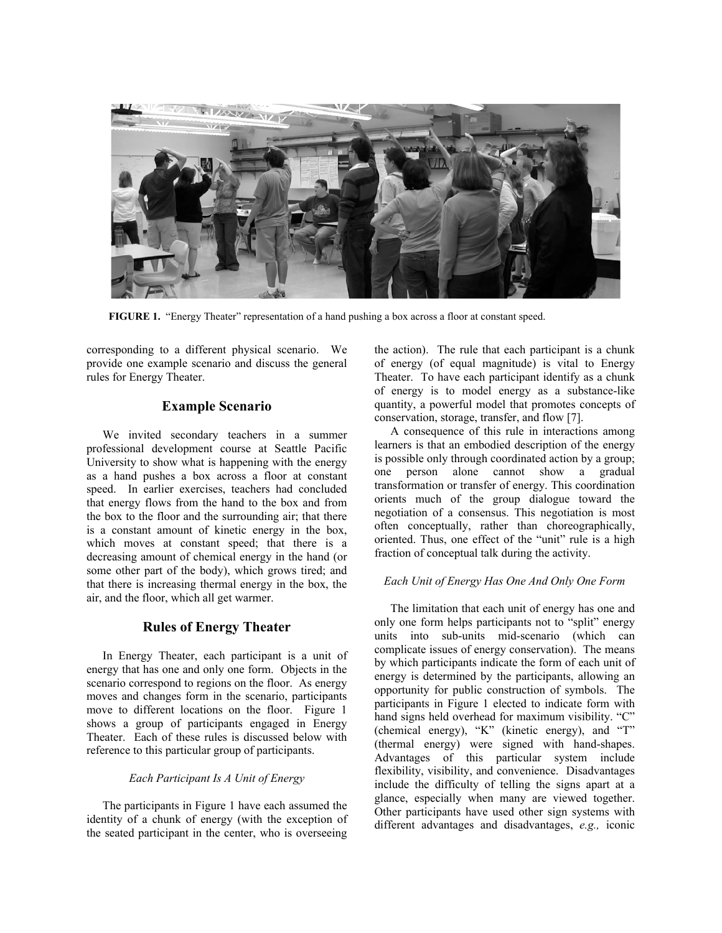

**FIGURE 1.** "Energy Theater" representation of a hand pushing a box across a floor at constant speed.

corresponding to a different physical scenario. We provide one example scenario and discuss the general rules for Energy Theater.

### **Example Scenario**

We invited secondary teachers in a summer professional development course at Seattle Pacific University to show what is happening with the energy as a hand pushes a box across a floor at constant speed. In earlier exercises, teachers had concluded that energy flows from the hand to the box and from the box to the floor and the surrounding air; that there is a constant amount of kinetic energy in the box, which moves at constant speed; that there is a decreasing amount of chemical energy in the hand (or some other part of the body), which grows tired; and that there is increasing thermal energy in the box, the air, and the floor, which all get warmer.

# **Rules of Energy Theater**

In Energy Theater, each participant is a unit of energy that has one and only one form. Objects in the scenario correspond to regions on the floor. As energy moves and changes form in the scenario, participants move to different locations on the floor. Figure 1 shows a group of participants engaged in Energy Theater. Each of these rules is discussed below with reference to this particular group of participants.

#### *Each Participant Is A Unit of Energy*

The participants in Figure 1 have each assumed the identity of a chunk of energy (with the exception of the seated participant in the center, who is overseeing

the action). The rule that each participant is a chunk of energy (of equal magnitude) is vital to Energy Theater. To have each participant identify as a chunk of energy is to model energy as a substance-like quantity, a powerful model that promotes concepts of conservation, storage, transfer, and flow [7].

A consequence of this rule in interactions among learners is that an embodied description of the energy is possible only through coordinated action by a group; one person alone cannot show a gradual transformation or transfer of energy. This coordination orients much of the group dialogue toward the negotiation of a consensus. This negotiation is most often conceptually, rather than choreographically, oriented. Thus, one effect of the "unit" rule is a high fraction of conceptual talk during the activity.

#### *Each Unit of Energy Has One And Only One Form*

The limitation that each unit of energy has one and only one form helps participants not to "split" energy units into sub-units mid-scenario (which can complicate issues of energy conservation). The means by which participants indicate the form of each unit of energy is determined by the participants, allowing an opportunity for public construction of symbols. The participants in Figure 1 elected to indicate form with hand signs held overhead for maximum visibility. "C" (chemical energy), "K" (kinetic energy), and "T" (thermal energy) were signed with hand-shapes. Advantages of this particular system include flexibility, visibility, and convenience. Disadvantages include the difficulty of telling the signs apart at a glance, especially when many are viewed together. Other participants have used other sign systems with different advantages and disadvantages, *e.g.,* iconic